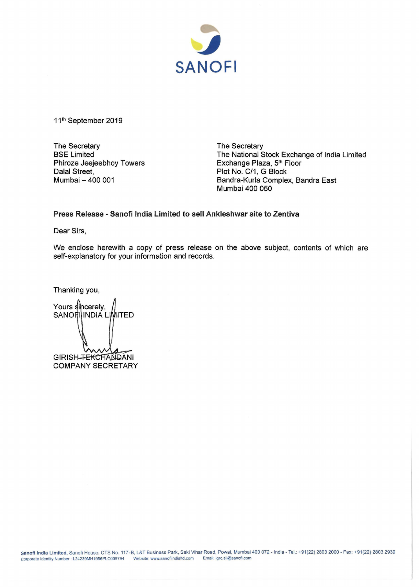

11<sup>th</sup> September 2019

The Secretary BSE Limited Phiroze Jeejeebhoy Towers Dalal Street, Mumbai- 400 001

The Secretary The National Stock Exchange of India Limited Exchange Plaza, 5<sup>th</sup> Floor Plot No. C/1, G Block Bandra-Kurla Complex, Sandra East Mumbai 400 050

## **Press Release- Sanofi India Limited to sell Ankleshwar site to Zentiva**

Dear Sirs,

We enclose herewith a copy of press release on the above subject, contents of which are self-explanatory for your information and records.

Thanking you,

Yours sincerely, SANORIINDIA LIMITED GIRISH-FEKCHANDANI **COMPANY SECRETARY**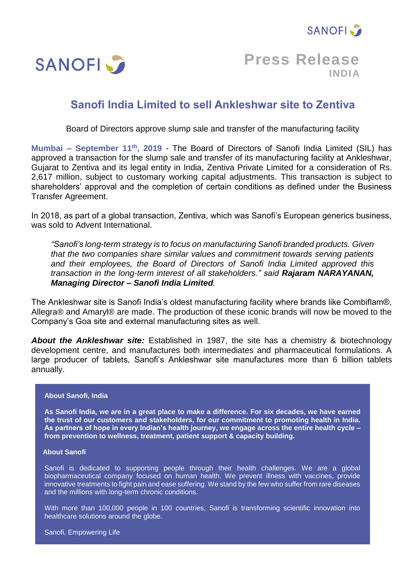



**Press Release INDIA**

## **Sanofi India Limited to sell Ankleshwar site to Zentiva**

Board of Directors approve slump sale and transfer of the manufacturing facility

**Mumbai – September 11th , 2019** - The Board of Directors of Sanofi India Limited (SIL) has approved a transaction for the slump sale and transfer of its manufacturing facility at Ankleshwar, Gujarat to Zentiva and its legal entity in India, Zentiva Private Limited for a consideration of Rs. 2,617 million, subject to customary working capital adjustments. This transaction is subject to shareholders' approval and the completion of certain conditions as defined under the Business Transfer Agreement.

In 2018, as part of a global transaction, Zentiva, which was Sanofi's European generics business, was sold to Advent International.

*"Sanofi's long-term strategy is to focus on manufacturing Sanofi branded products. Given that the two companies share similar values and commitment towards serving patients and their employees, the Board of Directors of Sanofi India Limited approved this transaction in the long-term interest of all stakeholders." said Rajaram NARAYANAN, Managing Director – Sanofi India Limited.* 

The Ankleshwar site is Sanofi India's oldest manufacturing facility where brands like Combiflam®, Allegra® and Amaryl® are made. The production of these iconic brands will now be moved to the Company's Goa site and external manufacturing sites as well.

*About the Ankleshwar site:* Established in 1987, the site has a chemistry & biotechnology development centre, and manufactures both intermediates and pharmaceutical formulations. A large producer of tablets, Sanofi's Ankleshwar site manufactures more than 6 billion tablets annually.

## **About Sanofi, India**

**As Sanofi India, we are in a great place to make a difference. For six decades, we have earned the trust of our customers and stakeholders, for our commitment to promoting health in India. As partners of hope in every Indian's health journey, we engage across the entire health cycle – from prevention to wellness, treatment, patient support & capacity building.** 

## **About Sanofi**

Sanofi is dedicated to supporting people through their health challenges. We are a global biopharmaceutical company focused on human health. We prevent illness with vaccines, provide innovative treatments to fight pain and ease suffering. We stand by the few who suffer from rare diseases and the millions with long-term chronic conditions.

With more than 100,000 people in 100 countries, Sanofi is transforming scientific innovation into healthcare solutions around the globe.

Sanofi, Empowering Life